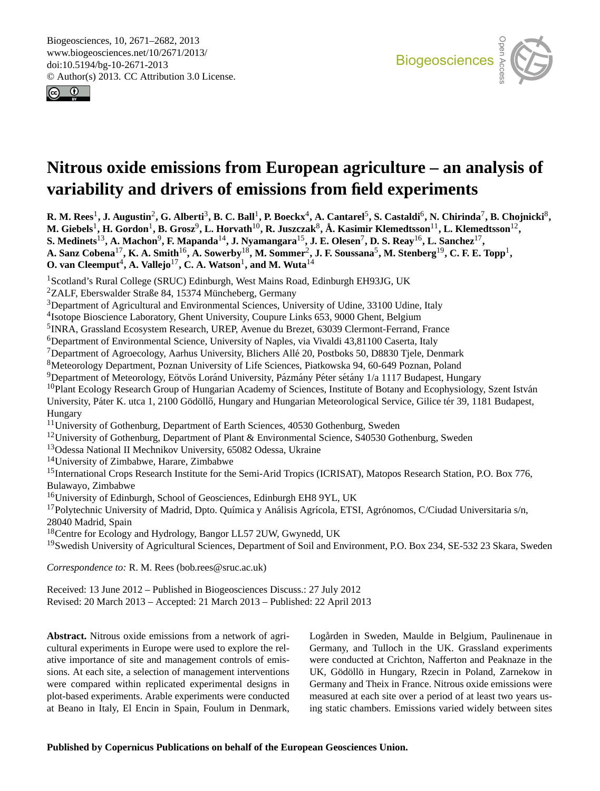<span id="page-0-0"></span>Biogeosciences, 10, 2671–2682, 2013 www.biogeosciences.net/10/2671/2013/ doi:10.5194/bg-10-2671-2013 © Author(s) 2013. CC Attribution 3.0 License.





# Earth System **variability and drivers of emissions from field experiments**  $\ddot{\phantom{a}}$ **Nitrous oxide emissions from European agriculture – an analysis of**

 ${\bf R. M. Rees}^1, {\bf J. Augustin}^2, {\bf G. Alberti}^3, {\bf B. C. Ball}^1, {\bf P. Boeckx}^4, {\bf A. Cantarel}^5, {\bf S. Castaldi}^6, {\bf N. Chirinda}^7, {\bf B. Chojnicki}^8,$  $\mathrm{berg}^{19}$ , C. F. E. To  $\overline{\text{pp}}$ M. Giebels<sup>1</sup>, H. Gordon<sup>1</sup>, B. Grosz<sup>9</sup>, L. Horvath<sup>10</sup>, R. Juszczak<sup>8</sup>, Å. Kasimir Klemedtsson<sup>11</sup>, L. Klemedtsson<sup>12</sup>,  $\mathbf{S}.$  Medinets<sup>13</sup>, A. Machon $^9$ , F. Mapanda $^{14}$ , J. Nyamangara $^{15}$ , J. E. Olesen $^7$ , D. S. Reay $^{16}$ , L. Sanchez $^{17}$ , **A. Sanz Cobena**17**, K. A. Smith**16**, A. Sowerby**18**, M. Sommer**<sup>2</sup> **, J. F. Soussana**<sup>5</sup> **, M. Stenberg**19**, C. F. E. Topp**<sup>1</sup> **, O. van Cleemput<sup>4</sup>, A. Vallejo<sup>17</sup>, C. A. Watson<sup>1</sup>, and M. Wuta<sup>14</sup>** 

<sup>1</sup>Scotland's Rural College (SRUC) Edinburgh, West Mains Road, Edinburgh EH93JG, UK

 $2$ ZALF, Eberswalder Straße 84, 15374 Müncheberg, Germany

-ZALF, Eberswalder Straße 84, 15374 Muncheberg, Germany<br><sup>3</sup>Department of Agricultural and Environmental Sciences, University of Udine, 33100 Udine, Italy

<sup>4</sup>Isotope Bioscience Laboratory, Ghent University, Coupure Links 653, 9000 Ghent, Belgium

5 INRA, Grassland Ecosystem Research, UREP, Avenue du Brezet, 63039 Clermont-Ferrand, France

<sup>6</sup>Department of Environmental Science, University of Naples, via Vivaldi 43,81100 Caserta, Italy

 $^7$ Department of Agroecology, Aarhus University, Blichers Allé 20, Postboks 50, D8830 Tjele, Denmark  $^8$ 

<sup>8</sup>Meteorology Department, Poznan University of Life Sciences, Piatkowska 94, 60-649 Poznan, Poland

 $9$ Department of Meteorology, Eötvös Loránd University, Pázmány Péter sétány 1/a 1117 Budapest, Hungary

 $10P$ lant Ecology Research Group of Hungarian Academy of Sciences, Institute of Botany and Ecophysiology, Szent István

University, Páter K. utca 1, 2100 Gödöllő, Hungary and Hungarian Meteorological Service, Gilice tér 39, 1181 Budapest,  $\mathcal{B}^{\text{u}}$ Hungary

<sup>11</sup>University of Gothenburg, Department of Earth Sciences, 40530 Gothenburg, Sweden

<sup>12</sup>University of Gothenburg, Department of Plant & Environmental Science, S40530 Gothenburg, Sweden

<sup>13</sup>Odessa National II Mechnikov University, 65082 Odessa, Ukraine

<sup>14</sup>University of Zimbabwe, Harare, Zimbabwe

Be<br>ar <sup>15</sup>International Crops Research Institute for the Semi-Arid Tropics (ICRISAT), Matopos Research Station, P.O. Box 776, Bulawayo, Zimbabwe

<sup>16</sup>University of Edinburgh, School of Geosciences, Edinburgh EH8 9YL, UK

<sup>17</sup>Polytechnic University of Madrid, Dpto. Química y Análisis Agrícola, ETSI, Agrónomos, C/Ciudad Universitaria s/n, 28040 Madrid, Spain

<sup>18</sup>Centre for Ecology and Hydrology, Bangor LL57 2UW, Gwynedd, UK

 $\mathbf{k}$ <sup>19</sup>Swedish University of Agricultural Sciences, Department of Soil and Environment, P.O. Box 234, SE-532 23 Skara, Sweden

*Correspondence to:* R. M. Rees (bob.rees@sruc.ac.uk)

Received: 13 June 2012 – Published in Biogeosciences Discuss.: 27 July 2012 Revised: 20 March 2013 – Accepted: 21 March 2013 – Published: 22 April 2013

**Abstract.** Nitrous oxide emissions from a network of agricultural experiments in Europe were used to explore the relative importance of site and management controls of emissions. At each site, a selection of management interventions were compared within replicated experimental designs in plot-based experiments. Arable experiments were conducted at Beano in Italy, El Encin in Spain, Foulum in Denmark,

**Logården in Sweden, Maulde in Belgium, Paulinenaue in** au<br>l ( Germany, and Tulloch in the UK. Grassland experiments were conducted at Crichton, Nafferton and Peaknaze in the UK, Gödöllö in Hungary, Rzecin in Poland, Zarnekow in Germany and Theix in France. Nitrous oxide emissions were measured at each site over a period of at least two years using static chambers. Emissions varied widely between sites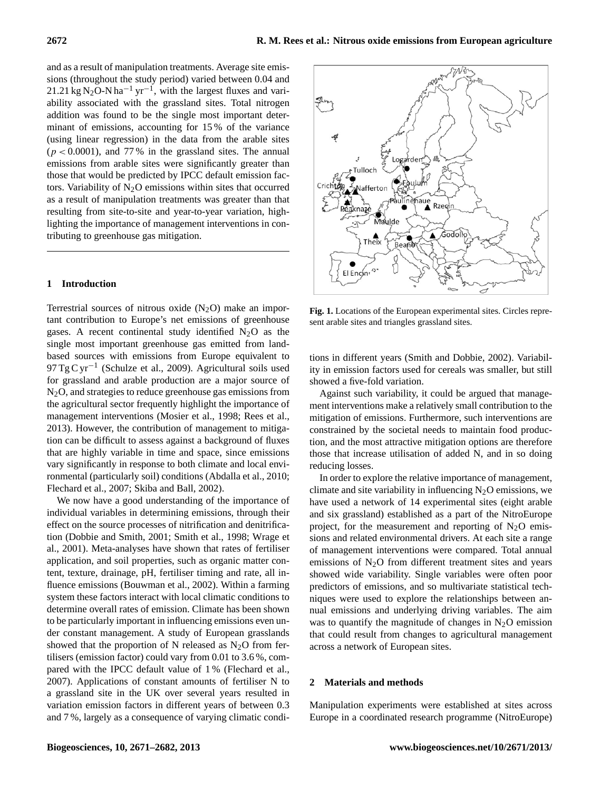and as a result of manipulation treatments. Average site emissions (throughout the study period) varied between 0.04 and 21.21 kg N<sub>2</sub>O-N ha<sup>-1</sup> yr<sup>-1</sup>, with the largest fluxes and variability associated with the grassland sites. Total nitrogen addition was found to be the single most important determinant of emissions, accounting for 15 % of the variance (using linear regression) in the data from the arable sites  $(p < 0.0001)$ , and 77% in the grassland sites. The annual emissions from arable sites were significantly greater than those that would be predicted by IPCC default emission factors. Variability of  $N<sub>2</sub>O$  emissions within sites that occurred as a result of manipulation treatments was greater than that resulting from site-to-site and year-to-year variation, highlighting the importance of management interventions in contributing to greenhouse gas mitigation.

# **1 Introduction**

Terrestrial sources of nitrous oxide  $(N_2O)$  make an important contribution to Europe's net emissions of greenhouse gases. A recent continental study identified  $N_2O$  as the single most important greenhouse gas emitted from landbased sources with emissions from Europe equivalent to 97 Tg C yr−<sup>1</sup> (Schulze et al., 2009). Agricultural soils used for grassland and arable production are a major source of N2O, and strategies to reduce greenhouse gas emissions from the agricultural sector frequently highlight the importance of management interventions (Mosier et al., 1998; Rees et al., 2013). However, the contribution of management to mitigation can be difficult to assess against a background of fluxes that are highly variable in time and space, since emissions vary significantly in response to both climate and local environmental (particularly soil) conditions (Abdalla et al., 2010; Flechard et al., 2007; Skiba and Ball, 2002).

We now have a good understanding of the importance of individual variables in determining emissions, through their effect on the source processes of nitrification and denitrification (Dobbie and Smith, 2001; Smith et al., 1998; Wrage et al., 2001). Meta-analyses have shown that rates of fertiliser application, and soil properties, such as organic matter content, texture, drainage, pH, fertiliser timing and rate, all influence emissions (Bouwman et al., 2002). Within a farming system these factors interact with local climatic conditions to determine overall rates of emission. Climate has been shown to be particularly important in influencing emissions even under constant management. A study of European grasslands showed that the proportion of N released as  $N_2O$  from fertilisers (emission factor) could vary from 0.01 to 3.6 %, compared with the IPCC default value of 1 % (Flechard et al., 2007). Applications of constant amounts of fertiliser N to a grassland site in the UK over several years resulted in variation emission factors in different years of between 0.3 and 7 %, largely as a consequence of varying climatic condi-



**Fig. 1.** Locations of the European experimental sites. Circles represent arable sites and triangles grassland sites.

tions in different years (Smith and Dobbie, 2002). Variability in emission factors used for cereals was smaller, but still showed a five-fold variation.

Against such variability, it could be argued that management interventions make a relatively small contribution to the mitigation of emissions. Furthermore, such interventions are constrained by the societal needs to maintain food production, and the most attractive mitigation options are therefore those that increase utilisation of added N, and in so doing reducing losses.

In order to explore the relative importance of management, climate and site variability in influencing  $N_2O$  emissions, we have used a network of 14 experimental sites (eight arable and six grassland) established as a part of the NitroEurope project, for the measurement and reporting of  $N_2O$  emissions and related environmental drivers. At each site a range of management interventions were compared. Total annual emissions of  $N<sub>2</sub>O$  from different treatment sites and years showed wide variability. Single variables were often poor predictors of emissions, and so multivariate statistical techniques were used to explore the relationships between annual emissions and underlying driving variables. The aim was to quantify the magnitude of changes in  $N_2O$  emission that could result from changes to agricultural management across a network of European sites.

#### **2 Materials and methods**

Manipulation experiments were established at sites across Europe in a coordinated research programme (NitroEurope)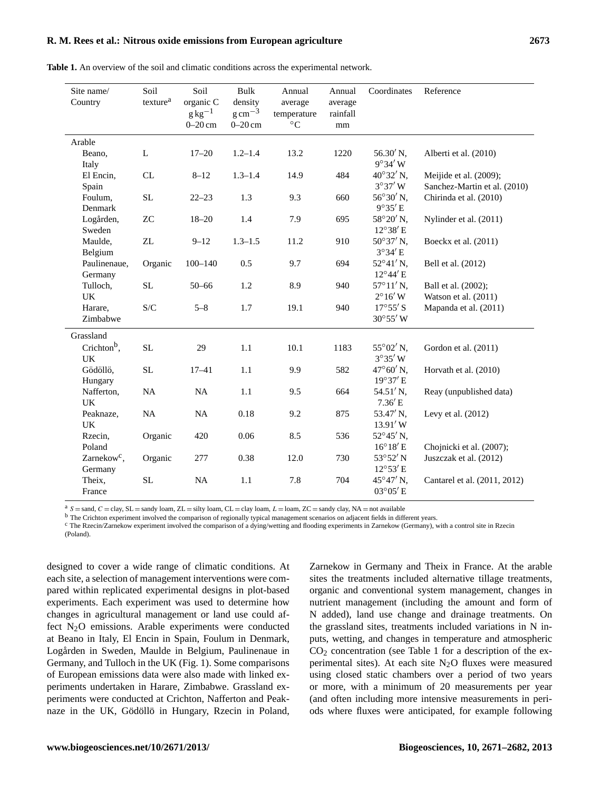# **R. M. Rees et al.: Nitrous oxide emissions from European agriculture 2673**

| Site name/<br>Country                | Soil<br>texture <sup>a</sup> | Soil<br>organic C<br>$g\text{kg}^{-1}$<br>$0-20$ cm | Bulk<br>density<br>$g \text{ cm}^{-3}$<br>$0-20$ cm | Annual<br>average<br>temperature<br>$\rm ^{\circ}C$ | Annual<br>average<br>rainfall<br>mm | Coordinates                             | Reference                                              |
|--------------------------------------|------------------------------|-----------------------------------------------------|-----------------------------------------------------|-----------------------------------------------------|-------------------------------------|-----------------------------------------|--------------------------------------------------------|
| Arable                               |                              |                                                     |                                                     |                                                     |                                     |                                         |                                                        |
| Beano,<br>Italy                      | L                            | $17 - 20$                                           | $1.2 - 1.4$                                         | 13.2                                                | 1220                                | $56.30'$ N,<br>$9^{\circ}34'$ W         | Alberti et al. (2010)                                  |
| El Encin,<br>Spain                   | CL                           | $8 - 12$                                            | $1.3 - 1.4$                                         | 14.9                                                | 484                                 | 40°32' N,<br>$3°37'$ W                  | Meijide et al. (2009);<br>Sanchez-Martin et al. (2010) |
| Foulum,<br>Denmark                   | SL                           | $22 - 23$                                           | 1.3                                                 | 9.3                                                 | 660                                 | 56°30'N,<br>$9^{\circ}35'E$             | Chirinda et al. (2010)                                 |
| Logården,<br>Sweden                  | ${\rm ZC}$                   | $18 - 20$                                           | 1.4                                                 | 7.9                                                 | 695                                 | 58°20' N,<br>$12^{\circ}38'$ E          | Nylinder et al. (2011)                                 |
| Maulde,<br>Belgium                   | ZL                           | $9 - 12$                                            | $1.3 - 1.5$                                         | 11.2                                                | 910                                 | $50^{\circ}37'$ N,<br>$3^{\circ}34'$ E  | Boeckx et al. (2011)                                   |
| Paulinenaue,<br>Germany              | Organic                      | $100 - 140$                                         | 0.5                                                 | 9.7                                                 | 694                                 | $52^{\circ}41'$ N,<br>$12^{\circ}44'$ E | Bell et al. (2012)                                     |
| Tulloch,<br>UK                       | SL                           | $50 - 66$                                           | 1.2                                                 | 8.9                                                 | 940                                 | $57^{\circ}11'$ N,<br>$2^{\circ}16'$ W  | Ball et al. (2002);<br>Watson et al. (2011)            |
| Harare,<br>Zimbabwe                  | S/C                          | $5 - 8$                                             | 1.7                                                 | 19.1                                                | 940                                 | $17^{\circ}55'$ S<br>30°55' W           | Mapanda et al. (2011)                                  |
| Grassland                            |                              |                                                     |                                                     |                                                     |                                     |                                         |                                                        |
| Crichton <sup>b</sup> ,<br><b>UK</b> | <b>SL</b>                    | 29                                                  | 1.1                                                 | 10.1                                                | 1183                                | 55°02' N,<br>$3^{\circ}35'$ W           | Gordon et al. (2011)                                   |
| Gödöllö,<br>Hungary                  | SL                           | $17 - 41$                                           | 1.1                                                 | 9.9                                                 | 582                                 | 47°60'N,<br>19°37'E                     | Horvath et al. (2010)                                  |
| Nafferton,<br>UK                     | <b>NA</b>                    | NA                                                  | 1.1                                                 | 9.5                                                 | 664                                 | 54.51'N,<br>7.36'E                      | Reay (unpublished data)                                |
| Peaknaze,<br><b>UK</b>               | NA                           | NA                                                  | 0.18                                                | 9.2                                                 | 875                                 | 53.47' N,<br>13.91' W                   | Levy et al. $(2012)$                                   |
| Rzecin,<br>Poland                    | Organic                      | 420                                                 | 0.06                                                | 8.5                                                 | 536                                 | 52°45' N,<br>$16^{\circ}18'$ E          | Chojnicki et al. (2007);                               |
| Zarnekow <sup>c</sup> ,<br>Germany   | Organic                      | 277                                                 | 0.38                                                | 12.0                                                | 730                                 | $53^{\circ}52'$ N<br>$12^{\circ}53'$ E  | Juszczak et al. (2012)                                 |
| Theix,<br>France                     | <b>SL</b>                    | NA                                                  | 1.1                                                 | 7.8                                                 | 704                                 | 45°47' N,<br>03°05'E                    | Cantarel et al. (2011, 2012)                           |

**Table 1.** An overview of the soil and climatic conditions across the experimental network.

 $a S =$ sand,  $C =$ clay,  $SL =$ sandy loam,  $ZL =$ silty loam,  $CL =$ clay loam,  $L =$ loam,  $ZC =$ sandy clay, NA = not available

b The Crichton experiment involved the comparison of regionally typical management scenarios on adjacent fields in different years.

<sup>c</sup> The Rzecin/Zarnekow experiment involved the comparison of a dying/wetting and flooding experiments in Zarnekow (Germany), with a control site in Rzecin (Poland).

designed to cover a wide range of climatic conditions. At each site, a selection of management interventions were compared within replicated experimental designs in plot-based experiments. Each experiment was used to determine how changes in agricultural management or land use could affect  $N<sub>2</sub>O$  emissions. Arable experiments were conducted at Beano in Italy, El Encin in Spain, Foulum in Denmark, Logården in Sweden, Maulde in Belgium, Paulinenaue in Germany, and Tulloch in the UK (Fig. 1). Some comparisons of European emissions data were also made with linked experiments undertaken in Harare, Zimbabwe. Grassland experiments were conducted at Crichton, Nafferton and Peaknaze in the UK, Gödöllö in Hungary, Rzecin in Poland, Zarnekow in Germany and Theix in France. At the arable sites the treatments included alternative tillage treatments, organic and conventional system management, changes in nutrient management (including the amount and form of N added), land use change and drainage treatments. On the grassland sites, treatments included variations in N inputs, wetting, and changes in temperature and atmospheric  $CO<sub>2</sub>$  concentration (see Table 1 for a description of the experimental sites). At each site  $N_2O$  fluxes were measured using closed static chambers over a period of two years or more, with a minimum of 20 measurements per year (and often including more intensive measurements in periods where fluxes were anticipated, for example following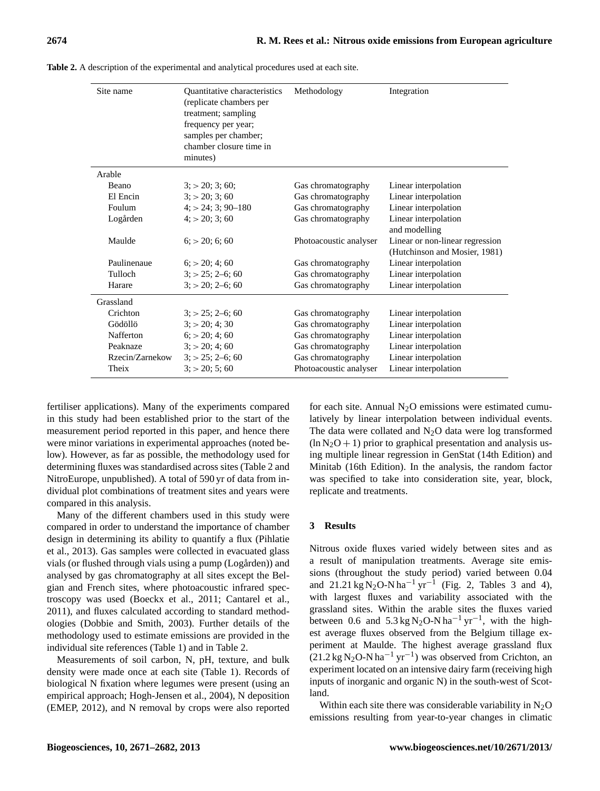| Site name       | <b>Ouantitative characteristics</b><br>(replicate chambers per<br>treatment; sampling<br>frequency per year;<br>samples per chamber;<br>chamber closure time in<br>minutes) | Methodology            | Integration                                                      |
|-----------------|-----------------------------------------------------------------------------------------------------------------------------------------------------------------------------|------------------------|------------------------------------------------------------------|
| Arable          |                                                                                                                                                                             |                        |                                                                  |
| Beano           | $3$ ; $>$ 20; 3; 60;                                                                                                                                                        | Gas chromatography     | Linear interpolation                                             |
| El Encin        | 3: > 20: 3: 60                                                                                                                                                              | Gas chromatography     | Linear interpolation                                             |
| Foulum          | $4: > 24:3:90-180$                                                                                                                                                          | Gas chromatography     | Linear interpolation                                             |
| Logården        | 4: > 20: 3: 60                                                                                                                                                              | Gas chromatography     | Linear interpolation<br>and modelling                            |
| Maulde          | 6: > 20: 6: 60                                                                                                                                                              | Photoacoustic analyser | Linear or non-linear regression<br>(Hutchinson and Mosier, 1981) |
| Paulinenaue     | $6:$ > 20; 4; 60                                                                                                                                                            | Gas chromatography     | Linear interpolation                                             |
| Tulloch         | $3: > 25: 2-6: 60$                                                                                                                                                          | Gas chromatography     | Linear interpolation                                             |
| Harare          | $3: > 20: 2 - 6: 60$                                                                                                                                                        | Gas chromatography     | Linear interpolation                                             |
| Grassland       |                                                                                                                                                                             |                        |                                                                  |
| Crichton        | $3: > 25: 2 - 6: 60$                                                                                                                                                        | Gas chromatography     | Linear interpolation                                             |
| Gödöllö         | 3: > 20: 4: 30                                                                                                                                                              | Gas chromatography     | Linear interpolation                                             |
| Nafferton       | 6: > 20: 4: 60                                                                                                                                                              | Gas chromatography     | Linear interpolation                                             |
| Peaknaze        | 3: > 20: 4: 60                                                                                                                                                              | Gas chromatography     | Linear interpolation                                             |
| Rzecin/Zarnekow | $3: > 25: 2 - 6: 60$                                                                                                                                                        | Gas chromatography     | Linear interpolation                                             |
| Theix           | 3: > 20: 5: 60                                                                                                                                                              | Photoacoustic analyser | Linear interpolation                                             |

**Table 2.** A description of the experimental and analytical procedures used at each site.

fertiliser applications). Many of the experiments compared in this study had been established prior to the start of the measurement period reported in this paper, and hence there were minor variations in experimental approaches (noted below). However, as far as possible, the methodology used for determining fluxes was standardised across sites (Table 2 and NitroEurope, unpublished). A total of 590 yr of data from individual plot combinations of treatment sites and years were compared in this analysis.

Many of the different chambers used in this study were compared in order to understand the importance of chamber design in determining its ability to quantify a flux (Pihlatie et al., 2013). Gas samples were collected in evacuated glass vials (or flushed through vials using a pump (Logården)) and analysed by gas chromatography at all sites except the Belgian and French sites, where photoacoustic infrared spectroscopy was used (Boeckx et al., 2011; Cantarel et al., 2011), and fluxes calculated according to standard methodologies (Dobbie and Smith, 2003). Further details of the methodology used to estimate emissions are provided in the individual site references (Table 1) and in Table 2.

Measurements of soil carbon, N, pH, texture, and bulk density were made once at each site (Table 1). Records of biological N fixation where legumes were present (using an empirical approach; Hogh-Jensen et al., 2004), N deposition (EMEP, 2012), and N removal by crops were also reported for each site. Annual  $N_2O$  emissions were estimated cumulatively by linear interpolation between individual events. The data were collated and  $N_2O$  data were log transformed  $(\ln N_2O + 1)$  prior to graphical presentation and analysis using multiple linear regression in GenStat (14th Edition) and Minitab (16th Edition). In the analysis, the random factor was specified to take into consideration site, year, block, replicate and treatments.

## **3 Results**

Nitrous oxide fluxes varied widely between sites and as a result of manipulation treatments. Average site emissions (throughout the study period) varied between 0.04 and 21.21 kg N<sub>2</sub>O-N ha<sup>-1</sup> yr<sup>-1</sup> (Fig. 2, Tables 3 and 4), with largest fluxes and variability associated with the grassland sites. Within the arable sites the fluxes varied between 0.6 and  $5.3 \text{ kg N}_2\text{O-N} \text{ ha}^{-1} \text{ yr}^{-1}$ , with the highest average fluxes observed from the Belgium tillage experiment at Maulde. The highest average grassland flux  $(21.2 \text{ kg N}_2O-N \text{ ha}^{-1} \text{ yr}^{-1})$  was observed from Crichton, an experiment located on an intensive dairy farm (receiving high inputs of inorganic and organic N) in the south-west of Scotland.

Within each site there was considerable variability in  $N_2O$ emissions resulting from year-to-year changes in climatic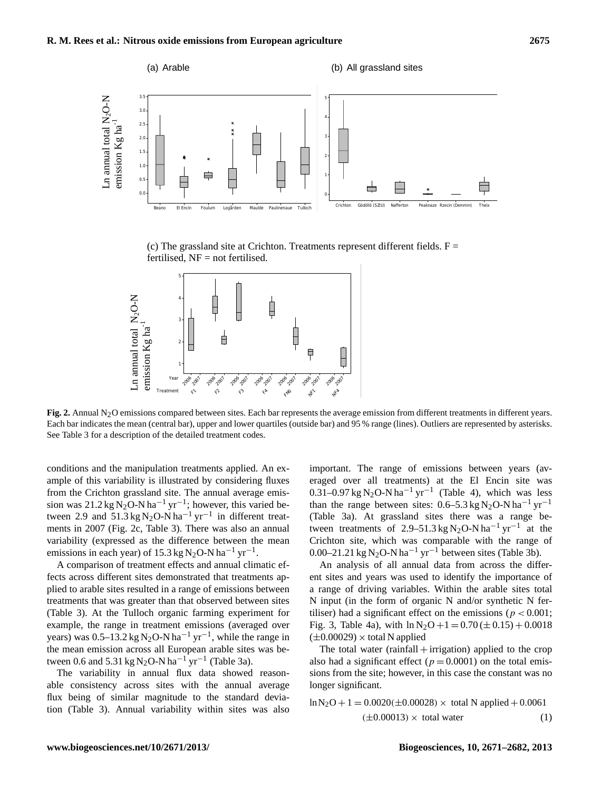

(c) The grassland site at Crichton. Treatments represent different fields.  $F =$ fertilised,  $NF = not$  fertilised.



Fig. 2. Annual N<sub>2</sub>O emissions compared between sites. Each bar represents the average emission from different treatments in different years. Each bar indicates the mean (central bar), upper and lower quartiles (outside bar) and 95 % range (lines). Outliers are represented by asterisks. See Table 3 for a description of the detailed treatment codes.

conditions and the manipulation treatments applied. An example of this variability is illustrated by considering fluxes from the Crichton grassland site. The annual average emission was 21.2 kg N<sub>2</sub>O-N ha<sup>-1</sup> yr<sup>-1</sup>; however, this varied between 2.9 and 51.3 kg N<sub>2</sub>O-N ha<sup>-1</sup> yr<sup>-1</sup> in different treatments in 2007 (Fig. 2c, Table 3). There was also an annual variability (expressed as the difference between the mean emissions in each year) of 15.3 kg N<sub>2</sub>O-N ha<sup>-1</sup> yr<sup>-1</sup>.

A comparison of treatment effects and annual climatic effects across different sites demonstrated that treatments applied to arable sites resulted in a range of emissions between treatments that was greater than that observed between sites (Table 3). At the Tulloch organic farming experiment for example, the range in treatment emissions (averaged over years) was  $0.5-13.2$  kg N<sub>2</sub>O-N ha<sup>-1</sup> yr<sup>-1</sup>, while the range in the mean emission across all European arable sites was between 0.6 and 5.31 kg N<sub>2</sub>O-N ha<sup>-1</sup> yr<sup>-1</sup> (Table 3a).

The variability in annual flux data showed reasonable consistency across sites with the annual average flux being of similar magnitude to the standard deviation (Table 3). Annual variability within sites was also important. The range of emissions between years (averaged over all treatments) at the El Encin site was 0.31–0.97 kg N<sub>2</sub>O-N ha<sup>-1</sup> yr<sup>-1</sup> (Table 4), which was less than the range between sites:  $0.6-5.3 \text{ kg N}_2\text{O-N} \text{ ha}^{-1} \text{ yr}^{-1}$ (Table 3a). At grassland sites there was a range between treatments of 2.9–51.3 kg N<sub>2</sub>O-N ha<sup>-1</sup> yr<sup>-1</sup> at the Crichton site, which was comparable with the range of 0.00–21.21 kg N<sub>2</sub>O-N ha<sup>-1</sup> yr<sup>-1</sup> between sites (Table 3b).

An analysis of all annual data from across the different sites and years was used to identify the importance of a range of driving variables. Within the arable sites total N input (in the form of organic N and/or synthetic N fertiliser) had a significant effect on the emissions ( $p < 0.001$ ; Fig. 3, Table 4a), with  $\ln N_2O + 1 = 0.70 \, (\pm 0.15) + 0.0018$  $(\pm 0.00029) \times$  total N applied

The total water  $(rainfall +irrigation)$  applied to the crop also had a significant effect ( $p = 0.0001$ ) on the total emissions from the site; however, in this case the constant was no longer significant.

$$
\ln N_2O + 1 = 0.0020(\pm 0.00028) \times \text{ total N applied} + 0.0061
$$
  
(±0.00013) × total water (1)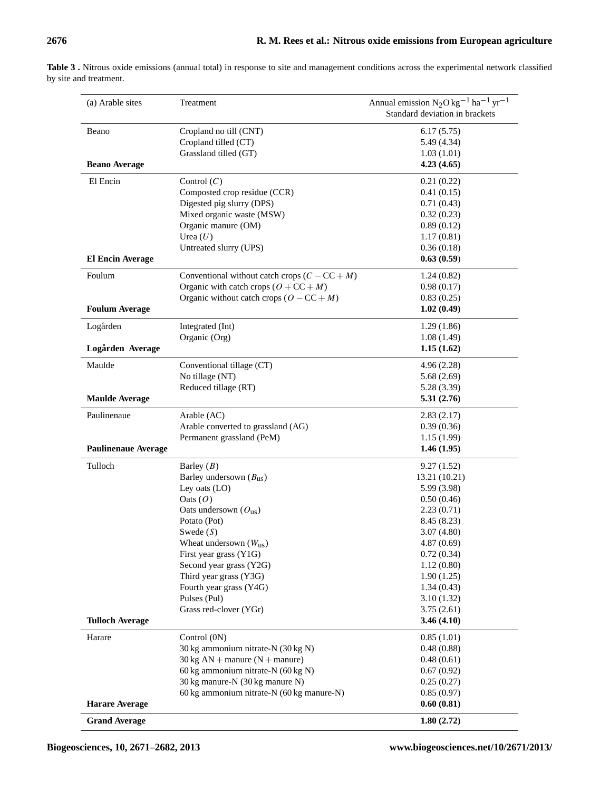| (a) Arable sites           | Treatment                                              | Annual emission $N_2O kg^{-1}$ ha <sup>-1</sup> yr <sup>-1</sup><br>Standard deviation in brackets |
|----------------------------|--------------------------------------------------------|----------------------------------------------------------------------------------------------------|
| Beano                      | Cropland no till (CNT)                                 | 6.17(5.75)                                                                                         |
|                            | Cropland tilled (CT)                                   | 5.49 (4.34)                                                                                        |
|                            | Grassland tilled (GT)                                  | 1.03(1.01)                                                                                         |
| <b>Beano Average</b>       |                                                        | 4.23(4.65)                                                                                         |
| El Encin                   | Control $(C)$                                          | 0.21(0.22)                                                                                         |
|                            | Composted crop residue (CCR)                           | 0.41(0.15)                                                                                         |
|                            | Digested pig slurry (DPS)                              | 0.71(0.43)                                                                                         |
|                            | Mixed organic waste (MSW)                              | 0.32(0.23)                                                                                         |
|                            | Organic manure (OM)                                    | 0.89(0.12)                                                                                         |
|                            | Urea $(U)$                                             | 1.17(0.81)                                                                                         |
|                            | Untreated slurry (UPS)                                 | 0.36(0.18)                                                                                         |
| <b>El Encin Average</b>    |                                                        | 0.63(0.59)                                                                                         |
| Foulum                     | Conventional without catch crops $(C - CC + M)$        | 1.24(0.82)                                                                                         |
|                            | Organic with catch crops $(O + CC + M)$                | 0.98(0.17)                                                                                         |
|                            | Organic without catch crops $(O - CC + M)$             | 0.83(0.25)                                                                                         |
| <b>Foulum Average</b>      |                                                        | 1.02(0.49)                                                                                         |
| Logården                   | Integrated (Int)                                       | 1.29(1.86)                                                                                         |
|                            | Organic (Org)                                          | 1.08(1.49)                                                                                         |
| Logården Average           |                                                        | 1.15(1.62)                                                                                         |
| Maulde                     | Conventional tillage (CT)                              | 4.96(2.28)                                                                                         |
|                            | No tillage (NT)                                        | 5.68(2.69)                                                                                         |
|                            | Reduced tillage (RT)                                   | 5.28 (3.39)                                                                                        |
| <b>Maulde Average</b>      |                                                        | 5.31(2.76)                                                                                         |
| Paulinenaue                | Arable (AC)                                            | 2.83(2.17)                                                                                         |
|                            | Arable converted to grassland (AG)                     | 0.39(0.36)                                                                                         |
|                            | Permanent grassland (PeM)                              | 1.15(1.99)                                                                                         |
| <b>Paulinenaue Average</b> |                                                        | 1.46(1.95)                                                                                         |
| Tulloch                    | Barley $(B)$                                           | 9.27(1.52)                                                                                         |
|                            | Barley undersown $(B_{us})$                            | 13.21 (10.21)                                                                                      |
|                            | Ley oats $(LO)$                                        | 5.99 (3.98)                                                                                        |
|                            | Oats $(O)$                                             | 0.50(0.46)                                                                                         |
|                            | Oats undersown $(O_{us})$                              | 2.23(0.71)                                                                                         |
|                            | Potato (Pot)                                           | 8.45(8.23)                                                                                         |
|                            | Swede $(S)$                                            | 3.07(4.80)                                                                                         |
|                            | Wheat undersown $(W_{us})$                             | 4.87(0.69)                                                                                         |
|                            | First year grass (Y1G)                                 | 0.72(0.34)                                                                                         |
|                            | Second year grass (Y2G)                                | 1.12(0.80)                                                                                         |
|                            | Third year grass (Y3G)                                 | 1.90(1.25)                                                                                         |
|                            | Fourth year grass (Y4G)                                | 1.34(0.43)                                                                                         |
|                            | Pulses (Pul)<br>Grass red-clover (YGr)                 | 3.10(1.32)<br>3.75(2.61)                                                                           |
| <b>Tulloch Average</b>     |                                                        | 3.46(4.10)                                                                                         |
|                            |                                                        |                                                                                                    |
| Harare                     | Control (0N)<br>30 kg ammonium nitrate-N (30 kg N)     | 0.85(1.01)<br>0.48(0.88)                                                                           |
|                            | $30 \text{ kg AN} + \text{manure (N} + \text{manure})$ | 0.48(0.61)                                                                                         |
|                            | 60 kg ammonium nitrate-N (60 kg N)                     | 0.67(0.92)                                                                                         |
|                            | 30 kg manure-N (30 kg manure N)                        | 0.25(0.27)                                                                                         |
|                            |                                                        |                                                                                                    |
|                            |                                                        |                                                                                                    |
| <b>Harare Average</b>      | 60 kg ammonium nitrate-N (60 kg manure-N)              | 0.85(0.97)<br>0.60(0.81)                                                                           |

**Table 3 .** Nitrous oxide emissions (annual total) in response to site and management conditions across the experimental network classified by site and treatment.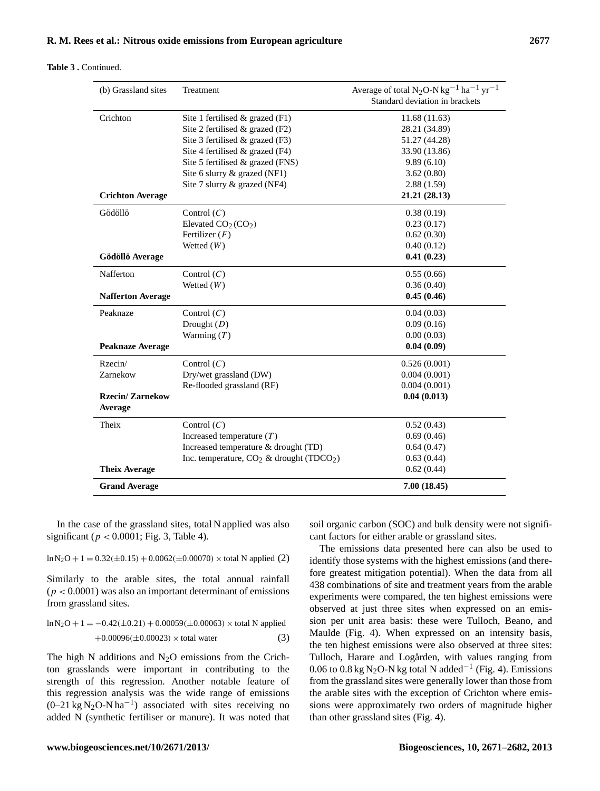### **Table 3 .** Continued.

| (b) Grassland sites               | Treatment                                               | Average of total N <sub>2</sub> O-N kg <sup>-1</sup> ha <sup>-1</sup> yr <sup>-1</sup> |
|-----------------------------------|---------------------------------------------------------|----------------------------------------------------------------------------------------|
|                                   |                                                         | Standard deviation in brackets                                                         |
| Crichton                          | Site 1 fertilised $&$ grazed (F1)                       | 11.68(11.63)                                                                           |
|                                   | Site 2 fertilised $&$ grazed (F2)                       | 28.21 (34.89)                                                                          |
|                                   | Site 3 fertilised & grazed (F3)                         | 51.27 (44.28)                                                                          |
|                                   | Site 4 fertilised & grazed (F4)                         | 33.90 (13.86)                                                                          |
|                                   | Site 5 fertilised & grazed (FNS)                        | 9.89(6.10)                                                                             |
|                                   | Site 6 slurry & grazed (NF1)                            | 3.62(0.80)                                                                             |
|                                   | Site 7 slurry & grazed (NF4)                            | 2.88(1.59)                                                                             |
| <b>Crichton Average</b>           |                                                         | 21.21 (28.13)                                                                          |
| Gödöllö                           | Control $(C)$                                           | 0.38(0.19)                                                                             |
|                                   | Elevated $CO2(CO2)$                                     | 0.23(0.17)                                                                             |
|                                   | Fertilizer $(F)$                                        | 0.62(0.30)                                                                             |
|                                   | Wetted $(W)$                                            | 0.40(0.12)                                                                             |
| Gödöllö Average                   |                                                         | 0.41(0.23)                                                                             |
| Nafferton                         | Control $(C)$                                           | 0.55(0.66)                                                                             |
|                                   | Wetted $(W)$                                            | 0.36(0.40)                                                                             |
| <b>Nafferton Average</b>          |                                                         | 0.45(0.46)                                                                             |
| Peaknaze                          | Control $(C)$                                           | 0.04(0.03)                                                                             |
|                                   | Drought $(D)$                                           | 0.09(0.16)                                                                             |
|                                   | Warming $(T)$                                           | 0.00(0.03)                                                                             |
| <b>Peaknaze Average</b>           |                                                         | 0.04(0.09)                                                                             |
| Rzecin/                           | Control $(C)$                                           | 0.526(0.001)                                                                           |
| Zarnekow                          | Dry/wet grassland (DW)                                  | 0.004(0.001)                                                                           |
|                                   | Re-flooded grassland (RF)                               | 0.004(0.001)                                                                           |
| <b>Rzecin/Zarnekow</b><br>Average |                                                         | 0.04(0.013)                                                                            |
| Theix                             | Control $(C)$                                           | 0.52(0.43)                                                                             |
|                                   | Increased temperature $(T)$                             | 0.69(0.46)                                                                             |
|                                   | Increased temperature & drought (TD)                    | 0.64(0.47)                                                                             |
|                                   | Inc. temperature, $CO_2$ & drought (TDCO <sub>2</sub> ) | 0.63(0.44)                                                                             |
| <b>Theix Average</b>              |                                                         | 0.62(0.44)                                                                             |
| <b>Grand Average</b>              |                                                         | 7.00(18.45)                                                                            |
|                                   |                                                         |                                                                                        |

In the case of the grassland sites, total N applied was also significant ( $p < 0.0001$ ; Fig. 3, Table 4).

 $\ln N_2O + 1 = 0.32(\pm 0.15) + 0.0062(\pm 0.00070) \times \text{total N applied (2)}$ 

Similarly to the arable sites, the total annual rainfall  $(p < 0.0001)$  was also an important determinant of emissions from grassland sites.

$$
\ln N_2O + 1 = -0.42(\pm 0.21) + 0.00059(\pm 0.00063) \times \text{total N applied}
$$
  
+0.00096(\pm 0.00023) × total water (3)

The high N additions and  $N_2O$  emissions from the Crichton grasslands were important in contributing to the strength of this regression. Another notable feature of this regression analysis was the wide range of emissions  $(0-21 \text{ kg N}_2\text{O-N} \text{ ha}^{-1})$  associated with sites receiving no added N (synthetic fertiliser or manure). It was noted that soil organic carbon (SOC) and bulk density were not significant factors for either arable or grassland sites.

The emissions data presented here can also be used to identify those systems with the highest emissions (and therefore greatest mitigation potential). When the data from all 438 combinations of site and treatment years from the arable experiments were compared, the ten highest emissions were observed at just three sites when expressed on an emission per unit area basis: these were Tulloch, Beano, and Maulde (Fig. 4). When expressed on an intensity basis, the ten highest emissions were also observed at three sites: Tulloch, Harare and Logården, with values ranging from 0.06 to 0.8 kg N<sub>2</sub>O-N kg total N added<sup>-1</sup> (Fig. 4). Emissions from the grassland sites were generally lower than those from the arable sites with the exception of Crichton where emissions were approximately two orders of magnitude higher than other grassland sites (Fig. 4).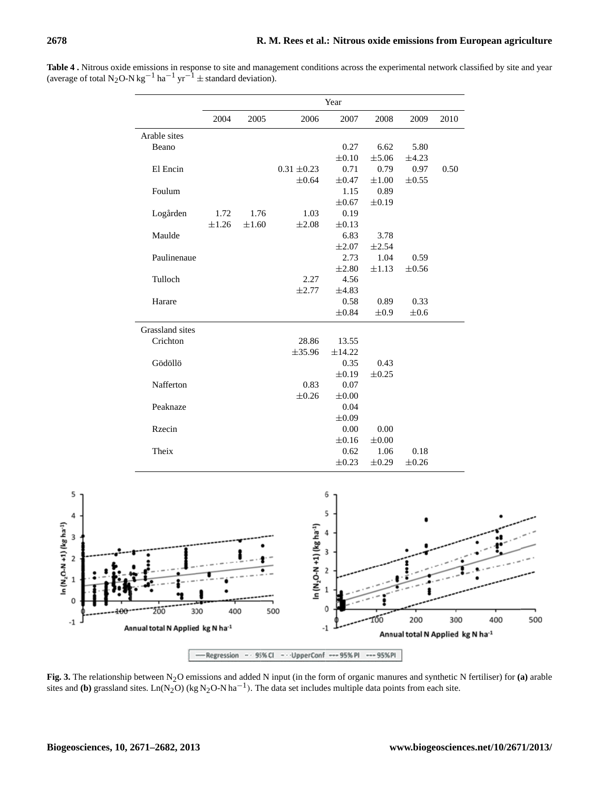|                 | Year       |            |                 |            |            |            |      |
|-----------------|------------|------------|-----------------|------------|------------|------------|------|
|                 | 2004       | 2005       | 2006            | 2007       | 2008       | 2009       | 2010 |
| Arable sites    |            |            |                 |            |            |            |      |
| Beano           |            |            |                 | 0.27       | 6.62       | 5.80       |      |
|                 |            |            |                 | $\pm 0.10$ | $\pm$ 5.06 | ±4.23      |      |
| El Encin        |            |            | $0.31 \pm 0.23$ | 0.71       | 0.79       | 0.97       | 0.50 |
|                 |            |            | ±0.64           | $\pm 0.47$ | $\pm 1.00$ | $\pm 0.55$ |      |
| Foulum          |            |            |                 | 1.15       | 0.89       |            |      |
|                 |            |            |                 | $\pm 0.67$ | $\pm 0.19$ |            |      |
| Logården        | 1.72       | 1.76       | 1.03            | 0.19       |            |            |      |
|                 | $\pm 1.26$ | $\pm 1.60$ | $\pm 2.08$      | $\pm 0.13$ |            |            |      |
| Maulde          |            |            |                 | 6.83       | 3.78       |            |      |
|                 |            |            |                 | $\pm 2.07$ | $\pm 2.54$ |            |      |
| Paulinenaue     |            |            |                 | 2.73       | 1.04       | 0.59       |      |
|                 |            |            |                 | $\pm 2.80$ | $\pm 1.13$ | $\pm 0.56$ |      |
| Tulloch         |            |            | 2.27            | 4.56       |            |            |      |
|                 |            |            | ±2.77           | ±4.83      |            |            |      |
| Harare          |            |            |                 | 0.58       | 0.89       | 0.33       |      |
|                 |            |            |                 | $\pm 0.84$ | $\pm 0.9$  | $\pm 0.6$  |      |
| Grassland sites |            |            |                 |            |            |            |      |
| Crichton        |            |            | 28.86           | 13.55      |            |            |      |
|                 |            |            | ±35.96          | ±14.22     |            |            |      |
| Gödöllö         |            |            |                 | 0.35       | 0.43       |            |      |
|                 |            |            |                 | $\pm 0.19$ | $\pm 0.25$ |            |      |
| Nafferton       |            |            | 0.83            | 0.07       |            |            |      |
|                 |            |            | $\pm 0.26$      | $\pm 0.00$ |            |            |      |
| Peaknaze        |            |            |                 | 0.04       |            |            |      |
|                 |            |            |                 | $\pm 0.09$ |            |            |      |
| Rzecin          |            |            |                 | 0.00       | 0.00       |            |      |
|                 |            |            |                 | $\pm 0.16$ | $\pm 0.00$ |            |      |
| Theix           |            |            |                 | 0.62       | 1.06       | 0.18       |      |
|                 |            |            |                 | $\pm 0.23$ | $\pm 0.29$ | $\pm 0.26$ |      |

**Table 4 .** Nitrous oxide emissions in response to site and management conditions across the experimental network classified by site and year (average of total N<sub>2</sub>O-N kg<sup>-1</sup> ha<sup>-1</sup> yr<sup>-1</sup> ± standard deviation).



**Fig. 3.** The relationship between N2O emissions and added N input (in the form of organic manures and synthetic N fertiliser) for **(a)** arable sites and **(b)** grassland sites. Ln(N<sub>2</sub>O) (kg N<sub>2</sub>O-N ha<sup>-1</sup>). The data set includes multiple data points from each site.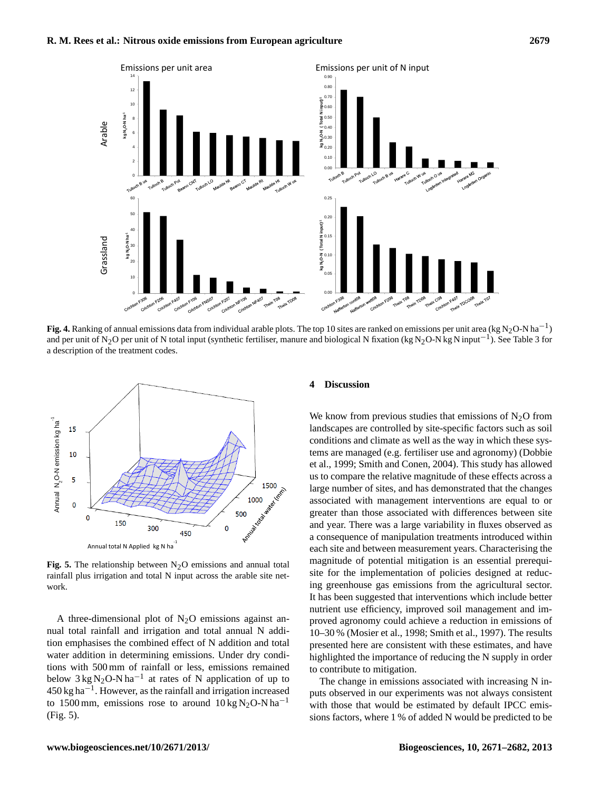

**Fig. 4.** Ranking of annual emissions data from individual arable plots. The top 10 sites are ranked on emissions per unit area (kg N<sub>2</sub>O-N ha<sup>−1</sup>) and require the N C normal area (kg N<sub>2</sub>O-N ha<sup>−1</sup>). See Table 2 for and per unit of N<sub>2</sub>O per unit of N total input (synthetic fertiliser, manure and biological N fixation (kg N<sub>2</sub>O-N kg N input<sup>-1</sup>). See Table 3 for a description of the treatment codes.



**Fig. 5.** The relationship between  $N_2O$  emissions and annual total rainfall plus irrigation and total N input across the arable site network.

A three-dimensional plot of  $N_2O$  emissions against annual total rainfall and irrigation and total annual N addition emphasises the combined effect of N addition and total water addition in determining emissions. Under dry conditions with 500 mm of rainfall or less, emissions remained below  $3 \text{ kg N}_2\text{O-N} \text{ ha}^{-1}$  at rates of N application of up to 450 kg ha−<sup>1</sup> . However, as the rainfall and irrigation increased to 1500 mm, emissions rose to around  $10 \text{ kg N}_2\text{O-N} \text{ ha}^{-1}$ (Fig. 5).

#### **4 Discussion**

We know from previous studies that emissions of  $N<sub>2</sub>O$  from landscapes are controlled by site-specific factors such as soil conditions and climate as well as the way in which these systems are managed (e.g. fertiliser use and agronomy) (Dobbie et al., 1999; Smith and Conen, 2004). This study has allowed us to compare the relative magnitude of these effects across a large number of sites, and has demonstrated that the changes associated with management interventions are equal to or greater than those associated with differences between site and year. There was a large variability in fluxes observed as a consequence of manipulation treatments introduced within each site and between measurement years. Characterising the magnitude of potential mitigation is an essential prerequisite for the implementation of policies designed at reducing greenhouse gas emissions from the agricultural sector. It has been suggested that interventions which include better nutrient use efficiency, improved soil management and improved agronomy could achieve a reduction in emissions of 10–30 % (Mosier et al., 1998; Smith et al., 1997). The results presented here are consistent with these estimates, and have highlighted the importance of reducing the N supply in order to contribute to mitigation.

The change in emissions associated with increasing N inputs observed in our experiments was not always consistent with those that would be estimated by default IPCC emissions factors, where 1 % of added N would be predicted to be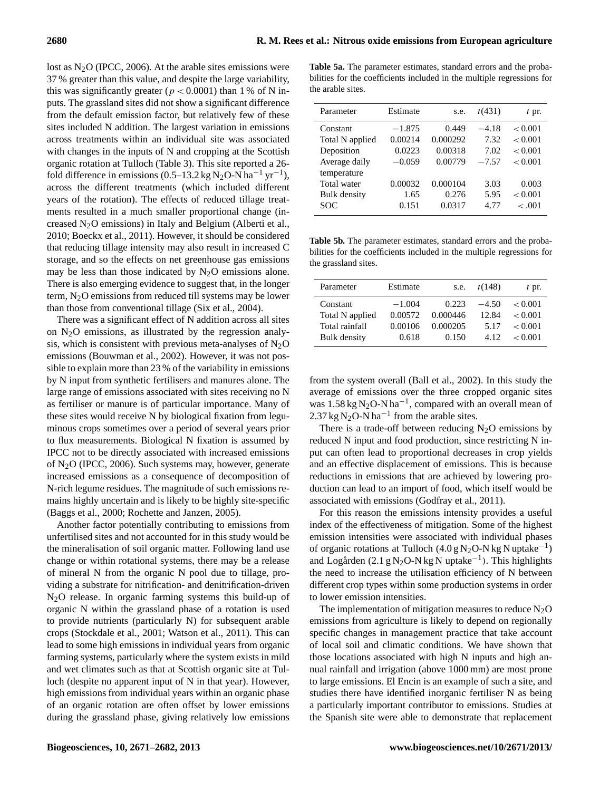lost as  $N_2O$  (IPCC, 2006). At the arable sites emissions were 37 % greater than this value, and despite the large variability, this was significantly greater ( $p < 0.0001$ ) than 1% of N inputs. The grassland sites did not show a significant difference from the default emission factor, but relatively few of these sites included N addition. The largest variation in emissions across treatments within an individual site was associated with changes in the inputs of N and cropping at the Scottish organic rotation at Tulloch (Table 3). This site reported a 26 fold difference in emissions (0.5–13.2 kg N<sub>2</sub>O-N ha<sup>-1</sup> yr<sup>-1</sup>), across the different treatments (which included different years of the rotation). The effects of reduced tillage treatments resulted in a much smaller proportional change (increased N2O emissions) in Italy and Belgium (Alberti et al., 2010; Boeckx et al., 2011). However, it should be considered that reducing tillage intensity may also result in increased C storage, and so the effects on net greenhouse gas emissions may be less than those indicated by  $N_2O$  emissions alone. There is also emerging evidence to suggest that, in the longer term, N2O emissions from reduced till systems may be lower than those from conventional tillage (Six et al., 2004).

There was a significant effect of N addition across all sites on  $N<sub>2</sub>O$  emissions, as illustrated by the regression analysis, which is consistent with previous meta-analyses of  $N_2O$ emissions (Bouwman et al., 2002). However, it was not possible to explain more than 23 % of the variability in emissions by N input from synthetic fertilisers and manures alone. The large range of emissions associated with sites receiving no N as fertiliser or manure is of particular importance. Many of these sites would receive N by biological fixation from leguminous crops sometimes over a period of several years prior to flux measurements. Biological N fixation is assumed by IPCC not to be directly associated with increased emissions of N2O (IPCC, 2006). Such systems may, however, generate increased emissions as a consequence of decomposition of N-rich legume residues. The magnitude of such emissions remains highly uncertain and is likely to be highly site-specific (Baggs et al., 2000; Rochette and Janzen, 2005).

Another factor potentially contributing to emissions from unfertilised sites and not accounted for in this study would be the mineralisation of soil organic matter. Following land use change or within rotational systems, there may be a release of mineral N from the organic N pool due to tillage, providing a substrate for nitrification- and denitrification-driven N2O release. In organic farming systems this build-up of organic N within the grassland phase of a rotation is used to provide nutrients (particularly N) for subsequent arable crops (Stockdale et al., 2001; Watson et al., 2011). This can lead to some high emissions in individual years from organic farming systems, particularly where the system exists in mild and wet climates such as that at Scottish organic site at Tulloch (despite no apparent input of N in that year). However, high emissions from individual years within an organic phase of an organic rotation are often offset by lower emissions during the grassland phase, giving relatively low emissions

**Table 5a.** The parameter estimates, standard errors and the probabilities for the coefficients included in the multiple regressions for the arable sites.

| Parameter           | Estimate | s.e.     | t(431)  | $t$ pr. |
|---------------------|----------|----------|---------|---------|
| Constant            | $-1.875$ | 0.449    | $-4.18$ | < 0.001 |
| Total N applied     | 0.00214  | 0.000292 | 7.32    | < 0.001 |
| Deposition          | 0.0223   | 0.00318  | 7.02    | < 0.001 |
| Average daily       | $-0.059$ | 0.00779  | $-7.57$ | < 0.001 |
| temperature         |          |          |         |         |
| Total water         | 0.00032  | 0.000104 | 3.03    | 0.003   |
| <b>Bulk</b> density | 1.65     | 0.276    | 5.95    | < 0.001 |
| SOC                 | 0.151    | 0.0317   | 4.77    | $-.001$ |

**Table 5b.** The parameter estimates, standard errors and the probabilities for the coefficients included in the multiple regressions for the grassland sites.

| Parameter       | Estimate | s.e.     | t(148)  | $t$ pr. |
|-----------------|----------|----------|---------|---------|
| Constant        | $-1.004$ | 0.223    | $-4.50$ | < 0.001 |
| Total N applied | 0.00572  | 0.000446 | 12.84   | < 0.001 |
| Total rainfall  | 0.00106  | 0.000205 | 5 1 7   | < 0.001 |
| Bulk density    | 0.618    | 0.150    | 4.12    | < 0.001 |

from the system overall (Ball et al., 2002). In this study the average of emissions over the three cropped organic sites was 1.58 kg N<sub>2</sub>O-N ha<sup>-1</sup>, compared with an overall mean of 2.37 kg N<sub>2</sub>O-N ha<sup>-1</sup> from the arable sites.

There is a trade-off between reducing  $N_2O$  emissions by reduced N input and food production, since restricting N input can often lead to proportional decreases in crop yields and an effective displacement of emissions. This is because reductions in emissions that are achieved by lowering production can lead to an import of food, which itself would be associated with emissions (Godfray et al., 2011).

For this reason the emissions intensity provides a useful index of the effectiveness of mitigation. Some of the highest emission intensities were associated with individual phases of organic rotations at Tulloch (4.0 g N<sub>2</sub>O-N kg N uptake<sup>-1</sup>) and Logården (2.1 g N<sub>2</sub>O-N kg N uptake<sup>-1</sup>). This highlights the need to increase the utilisation efficiency of N between different crop types within some production systems in order to lower emission intensities.

The implementation of mitigation measures to reduce  $N_2O$ emissions from agriculture is likely to depend on regionally specific changes in management practice that take account of local soil and climatic conditions. We have shown that those locations associated with high N inputs and high annual rainfall and irrigation (above 1000 mm) are most prone to large emissions. El Encin is an example of such a site, and studies there have identified inorganic fertiliser N as being a particularly important contributor to emissions. Studies at the Spanish site were able to demonstrate that replacement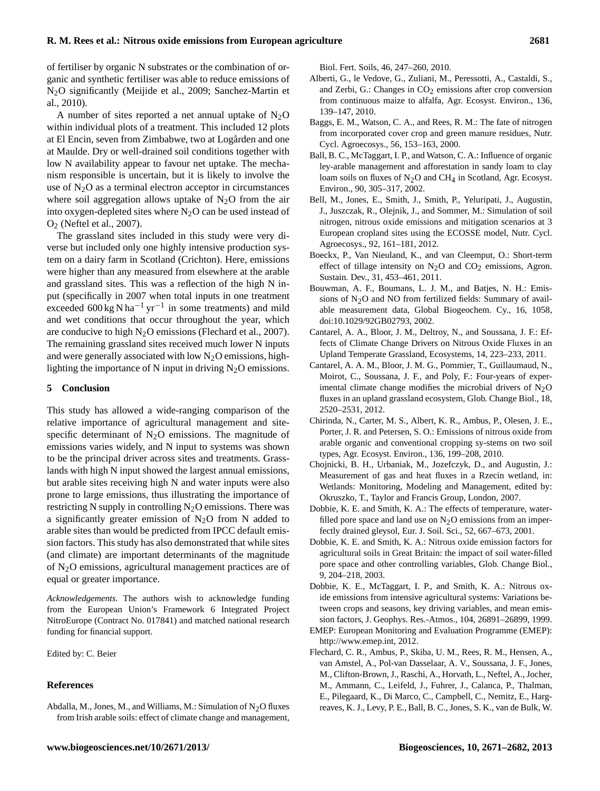of fertiliser by organic N substrates or the combination of organic and synthetic fertiliser was able to reduce emissions of N2O significantly (Meijide et al., 2009; Sanchez-Martin et al., 2010).

A number of sites reported a net annual uptake of  $N_2O$ within individual plots of a treatment. This included 12 plots at El Encin, seven from Zimbabwe, two at Logården and one at Maulde. Dry or well-drained soil conditions together with low N availability appear to favour net uptake. The mechanism responsible is uncertain, but it is likely to involve the use of  $N_2O$  as a terminal electron acceptor in circumstances where soil aggregation allows uptake of  $N_2O$  from the air into oxygen-depleted sites where  $N_2O$  can be used instead of O<sup>2</sup> (Neftel et al., 2007).

The grassland sites included in this study were very diverse but included only one highly intensive production system on a dairy farm in Scotland (Crichton). Here, emissions were higher than any measured from elsewhere at the arable and grassland sites. This was a reflection of the high N input (specifically in 2007 when total inputs in one treatment exceeded  $600 \text{ kg N} \text{ ha}^{-1} \text{ yr}^{-1}$  in some treatments) and mild and wet conditions that occur throughout the year, which are conducive to high  $N<sub>2</sub>O$  emissions (Flechard et al., 2007). The remaining grassland sites received much lower N inputs and were generally associated with low  $N_2O$  emissions, highlighting the importance of N input in driving  $N_2O$  emissions.

#### **5 Conclusion**

This study has allowed a wide-ranging comparison of the relative importance of agricultural management and sitespecific determinant of  $N_2O$  emissions. The magnitude of emissions varies widely, and N input to systems was shown to be the principal driver across sites and treatments. Grasslands with high N input showed the largest annual emissions, but arable sites receiving high N and water inputs were also prone to large emissions, thus illustrating the importance of restricting N supply in controlling  $N_2O$  emissions. There was a significantly greater emission of  $N<sub>2</sub>O$  from N added to arable sites than would be predicted from IPCC default emission factors. This study has also demonstrated that while sites (and climate) are important determinants of the magnitude of N2O emissions, agricultural management practices are of equal or greater importance.

*Acknowledgements.* The authors wish to acknowledge funding from the European Union's Framework 6 Integrated Project NitroEurope (Contract No. 017841) and matched national research funding for financial support.

Edited by: C. Beier

#### **References**

Abdalla, M., Jones, M., and Williams, M.: Simulation of  $N_2O$  fluxes from Irish arable soils: effect of climate change and management,

- Alberti, G., le Vedove, G., Zuliani, M., Peressotti, A., Castaldi, S., and Zerbi, G.: Changes in  $CO<sub>2</sub>$  emissions after crop conversion from continuous maize to alfalfa, Agr. Ecosyst. Environ., 136, 139–147, 2010.
- Baggs, E. M., Watson, C. A., and Rees, R. M.: The fate of nitrogen from incorporated cover crop and green manure residues, Nutr. Cycl. Agroecosys., 56, 153–163, 2000.
- Ball, B. C., McTaggart, I. P., and Watson, C. A.: Influence of organic ley-arable management and afforestation in sandy loam to clay loam soils on fluxes of  $N_2O$  and CH<sub>4</sub> in Scotland, Agr. Ecosyst. Environ., 90, 305–317, 2002.
- Bell, M., Jones, E., Smith, J., Smith, P., Yeluripati, J., Augustin, J., Juszczak, R., Olejnik, J., and Sommer, M.: Simulation of soil nitrogen, nitrous oxide emissions and mitigation scenarios at 3 European cropland sites using the ECOSSE model, Nutr. Cycl. Agroecosys., 92, 161–181, 2012.
- Boeckx, P., Van Nieuland, K., and van Cleemput, O.: Short-term effect of tillage intensity on  $N_2O$  and  $CO_2$  emissions, Agron. Sustain. Dev., 31, 453–461, 2011.
- Bouwman, A. F., Boumans, L. J. M., and Batjes, N. H.: Emissions of  $N_2O$  and NO from fertilized fields: Summary of available measurement data, Global Biogeochem. Cy., 16, 1058, [doi:10.1029/92GB02793,](http://dx.doi.org/10.1029/92GB02793) 2002.
- Cantarel, A. A., Bloor, J. M., Deltroy, N., and Soussana, J. F.: Effects of Climate Change Drivers on Nitrous Oxide Fluxes in an Upland Temperate Grassland, Ecosystems, 14, 223–233, 2011.
- Cantarel, A. A. M., Bloor, J. M. G., Pommier, T., Guillaumaud, N., Moirot, C., Soussana, J. F., and Poly, F.: Four-years of experimental climate change modifies the microbial drivers of  $N<sub>2</sub>O$ fluxes in an upland grassland ecosystem, Glob. Change Biol., 18, 2520–2531, 2012.
- Chirinda, N., Carter, M. S., Albert, K. R., Ambus, P., Olesen, J. E., Porter, J. R. and Petersen, S. O.: Emissions of nitrous oxide from arable organic and conventional cropping sy-stems on two soil types, Agr. Ecosyst. Environ., 136, 199–208, 2010.
- Chojnicki, B. H., Urbaniak, M., Jozefczyk, D., and Augustin, J.: Measurement of gas and heat fluxes in a Rzecin wetland, in: Wetlands: Monitoring, Modeling and Management, edited by: Okruszko, T., Taylor and Francis Group, London, 2007.
- Dobbie, K. E. and Smith, K. A.: The effects of temperature, waterfilled pore space and land use on  $N_2O$  emissions from an imperfectly drained gleysol, Eur. J. Soil. Sci., 52, 667–673, 2001.
- Dobbie, K. E. and Smith, K. A.: Nitrous oxide emission factors for agricultural soils in Great Britain: the impact of soil water-filled pore space and other controlling variables, Glob. Change Biol., 9, 204–218, 2003.
- Dobbie, K. E., McTaggart, I. P., and Smith, K. A.: Nitrous oxide emissions from intensive agricultural systems: Variations between crops and seasons, key driving variables, and mean emission factors, J. Geophys. Res.-Atmos., 104, 26891–26899, 1999.
- EMEP: European Monitoring and Evaluation Programme (EMEP): [http://www.emep.int,](http://www.emep.int) 2012.
- Flechard, C. R., Ambus, P., Skiba, U. M., Rees, R. M., Hensen, A., van Amstel, A., Pol-van Dasselaar, A. V., Soussana, J. F., Jones, M., Clifton-Brown, J., Raschi, A., Horvath, L., Neftel, A., Jocher, M., Ammann, C., Leifeld, J., Fuhrer, J., Calanca, P., Thalman, E., Pilegaard, K., Di Marco, C., Campbell, C., Nemitz, E., Hargreaves, K. J., Levy, P. E., Ball, B. C., Jones, S. K., van de Bulk, W.